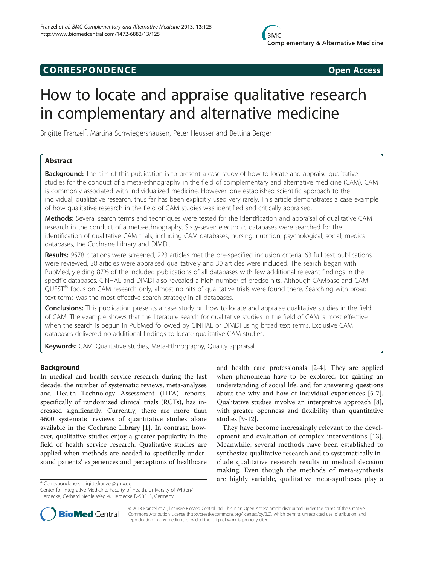# **CORRESPONDENCE CORRESPONDENCE** *CORRESPONDENCE*

# How to locate and appraise qualitative research in complementary and alternative medicine

Brigitte Franzel\* , Martina Schwiegershausen, Peter Heusser and Bettina Berger

# Abstract

**Background:** The aim of this publication is to present a case study of how to locate and appraise qualitative studies for the conduct of a meta-ethnography in the field of complementary and alternative medicine (CAM). CAM is commonly associated with individualized medicine. However, one established scientific approach to the individual, qualitative research, thus far has been explicitly used very rarely. This article demonstrates a case example of how qualitative research in the field of CAM studies was identified and critically appraised.

Methods: Several search terms and techniques were tested for the identification and appraisal of qualitative CAM research in the conduct of a meta-ethnography. Sixty-seven electronic databases were searched for the identification of qualitative CAM trials, including CAM databases, nursing, nutrition, psychological, social, medical databases, the Cochrane Library and DIMDI.

Results: 9578 citations were screened, 223 articles met the pre-specified inclusion criteria, 63 full text publications were reviewed, 38 articles were appraised qualitatively and 30 articles were included. The search began with PubMed, yielding 87% of the included publications of all databases with few additional relevant findings in the specific databases. CINHAL and DIMDI also revealed a high number of precise hits. Although CAMbase and CAM- $QUEST^®$  focus on CAM research only, almost no hits of qualitative trials were found there. Searching with broad text terms was the most effective search strategy in all databases.

Conclusions: This publication presents a case study on how to locate and appraise qualitative studies in the field of CAM. The example shows that the literature search for qualitative studies in the field of CAM is most effective when the search is begun in PubMed followed by CINHAL or DIMDI using broad text terms. Exclusive CAM databases delivered no additional findings to locate qualitative CAM studies.

Keywords: CAM, Qualitative studies, Meta-Ethnography, Quality appraisal

# Background

In medical and health service research during the last decade, the number of systematic reviews, meta-analyses and Health Technology Assessment (HTA) reports, specifically of randomized clinical trials (RCTs), has increased significantly. Currently, there are more than 4600 systematic reviews of quantitative studies alone available in the Cochrane Library [[1\]](#page-8-0). In contrast, however, qualitative studies enjoy a greater popularity in the field of health service research. Qualitative studies are applied when methods are needed to specifically understand patients' experiences and perceptions of healthcare

and health care professionals [\[2](#page-8-0)-[4\]](#page-8-0). They are applied when phenomena have to be explored, for gaining an understanding of social life, and for answering questions about the why and how of individual experiences [[5-7](#page-9-0)]. Qualitative studies involve an interpretive approach [\[8](#page-9-0)], with greater openness and flexibility than quantitative studies [\[9-12](#page-9-0)].

They have become increasingly relevant to the development and evaluation of complex interventions [[13](#page-9-0)]. Meanwhile, several methods have been established to synthesize qualitative research and to systematically include qualitative research results in medical decision making. Even though the methods of meta-synthesis are highly variable, qualitative meta-syntheses play a \* Correspondence: [brigitte.franzel@gmx.de](mailto:brigitte.franzel@gmx.de)

Center for Integrative Medicine, Faculty of Health, University of Witten/ Herdecke, Gerhard Kienle Weg 4, Herdecke D-58313, Germany



© 2013 Franzel et al.; licensee BioMed Central Ltd. This is an Open Access article distributed under the terms of the Creative Commons Attribution License [\(http://creativecommons.org/licenses/by/2.0\)](http://creativecommons.org/licenses/by/2.0), which permits unrestricted use, distribution, and reproduction in any medium, provided the original work is properly cited.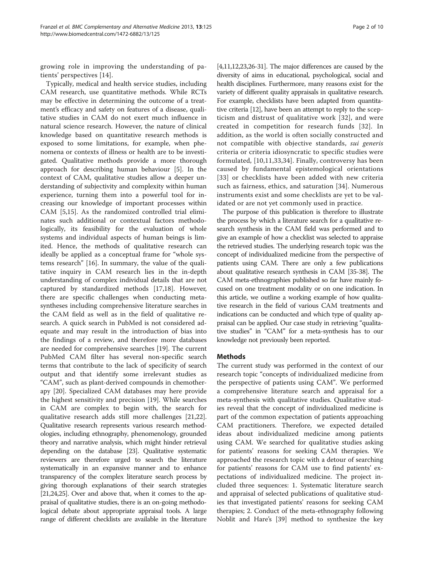tients' perspectives [[14](#page-9-0)].

Typically, medical and health service studies, including CAM research, use quantitative methods. While RCTs may be effective in determining the outcome of a treatment's efficacy and safety on features of a disease, qualitative studies in CAM do not exert much influence in natural science research. However, the nature of clinical knowledge based on quantitative research methods is exposed to some limitations, for example, when phenomena or contexts of illness or health are to be investigated. Qualitative methods provide a more thorough approach for describing human behaviour [[5\]](#page-9-0). In the context of CAM, qualitative studies allow a deeper understanding of subjectivity and complexity within human experience, turning them into a powerful tool for increasing our knowledge of important processes within CAM [\[5](#page-9-0),[15](#page-9-0)]. As the randomized controlled trial eliminates such additional or contextual factors methodologically, its feasibility for the evaluation of whole systems and individual aspects of human beings is limited. Hence, the methods of qualitative research can ideally be applied as a conceptual frame for "whole systems research" [[16\]](#page-9-0). In summary, the value of the qualitative inquiry in CAM research lies in the in-depth understanding of complex individual details that are not captured by standardized methods [[17,18\]](#page-9-0). However, there are specific challenges when conducting metasyntheses including comprehensive literature searches in the CAM field as well as in the field of qualitative research. A quick search in PubMed is not considered adequate and may result in the introduction of bias into the findings of a review, and therefore more databases are needed for comprehensive searches [\[19](#page-9-0)]. The current PubMed CAM filter has several non-specific search terms that contribute to the lack of specificity of search output and that identify some irrelevant studies as "CAM", such as plant-derived compounds in chemotherapy [[20\]](#page-9-0). Specialized CAM databases may here provide the highest sensitivity and precision [\[19](#page-9-0)]. While searches in CAM are complex to begin with, the search for qualitative research adds still more challenges [\[21,22](#page-9-0)]. Qualitative research represents various research methodologies, including ethnography, phenomenology, grounded theory and narrative analysis, which might hinder retrieval depending on the database [\[23](#page-9-0)]. Qualitative systematic reviewers are therefore urged to search the literature systematically in an expansive manner and to enhance transparency of the complex literature search process by giving thorough explanations of their search strategies [[21,24,25\]](#page-9-0). Over and above that, when it comes to the appraisal of qualitative studies, there is an on-going methodological debate about appropriate appraisal tools. A large range of different checklists are available in the literature

[[4](#page-8-0)[,11,12,23,26-31\]](#page-9-0). The major differences are caused by the diversity of aims in educational, psychological, social and health disciplines. Furthermore, many reasons exist for the variety of different quality appraisals in qualitative research. For example, checklists have been adapted from quantitative criteria [\[12\]](#page-9-0), have been an attempt to reply to the scepticism and distrust of qualitative work [\[32](#page-9-0)], and were created in competition for research funds [[32\]](#page-9-0). In addition, as the world is often socially constructed and not compatible with objective standards, sui generis criteria or criteria idiosyncratic to specific studies were formulated, [[10,11,33,34\]](#page-9-0). Finally, controversy has been caused by fundamental epistemological orientations [[33](#page-9-0)] or checklists have been added with new criteria such as fairness, ethics, and saturation [[34](#page-9-0)]. Numerous instruments exist and some checklists are yet to be validated or are not yet commonly used in practice.

The purpose of this publication is therefore to illustrate the process by which a literature search for a qualitative research synthesis in the CAM field was performed and to give an example of how a checklist was selected to appraise the retrieved studies. The underlying research topic was the concept of individualized medicine from the perspective of patients using CAM. There are only a few publications about qualitative research synthesis in CAM [[35-38\]](#page-9-0). The CAM meta-ethnographies published so far have mainly focused on one treatment modality or on one indication. In this article, we outline a working example of how qualitative research in the field of various CAM treatments and indications can be conducted and which type of quality appraisal can be applied. Our case study in retrieving "qualitative studies" in "CAM" for a meta-synthesis has to our knowledge not previously been reported.

# Methods

The current study was performed in the context of our research topic "concepts of individualized medicine from the perspective of patients using CAM". We performed a comprehensive literature search and appraisal for a meta-synthesis with qualitative studies. Qualitative studies reveal that the concept of individualized medicine is part of the common expectation of patients approaching CAM practitioners. Therefore, we expected detailed ideas about individualized medicine among patients using CAM. We searched for qualitative studies asking for patients' reasons for seeking CAM therapies. We approached the research topic with a detour of searching for patients' reasons for CAM use to find patients' expectations of individualized medicine. The project included three sequences: 1. Systematic literature search and appraisal of selected publications of qualitative studies that investigated patients' reasons for seeking CAM therapies; 2. Conduct of the meta-ethnography following Noblit and Hare's [\[39](#page-9-0)] method to synthesize the key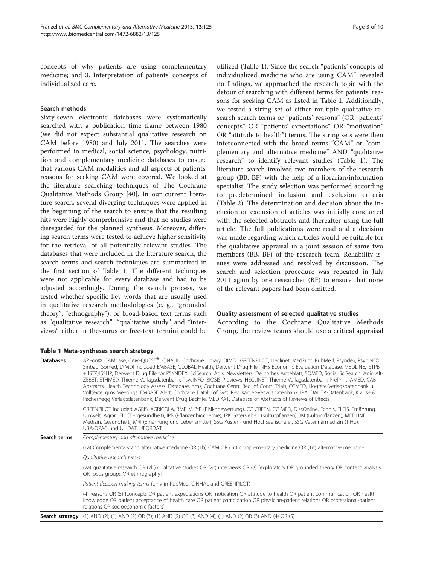concepts of why patients are using complementary medicine; and 3. Interpretation of patients' concepts of individualized care.

#### Search methods

Sixty-seven electronic databases were systematically searched with a publication time frame between 1980 (we did not expect substantial qualitative research on CAM before 1980) and July 2011. The searches were performed in medical, social science, psychology, nutrition and complementary medicine databases to ensure that various CAM modalities and all aspects of patients' reasons for seeking CAM were covered. We looked at the literature searching techniques of The Cochrane Qualitative Methods Group [[40](#page-9-0)]. In our current literature search, several diverging techniques were applied in the beginning of the search to ensure that the resulting hits were highly comprehensive and that no studies were disregarded for the planned synthesis. Moreover, differing search terms were tested to achieve higher sensitivity for the retrieval of all potentially relevant studies. The databases that were included in the literature search, the search terms and search techniques are summarized in the first section of Table 1. The different techniques were not applicable for every database and had to be adjusted accordingly. During the search process, we tested whether specific key words that are usually used in qualitative research methodologies (e. g., "grounded theory", "ethnography"), or broad-based text terms such as "qualitative research", "qualitative study" and "interviews" either in thesaurus or free-text termini could be

utilized (Table 1). Since the search "patients' concepts of individualized medicine who are using CAM" revealed no findings, we approached the research topic with the detour of searching with different terms for patients' reasons for seeking CAM as listed in Table 1. Additionally, we tested a string set of either multiple qualitative research search terms or "patients' reasons" (OR "patients' concepts" OR "patients' expectations" OR "motivation" OR "attitude to health") terms. The string sets were then interconnected with the broad terms "CAM" or "complementary and alternative medicine" AND "qualitative research" to identify relevant studies (Table 1). The literature search involved two members of the research group (BB, BF) with the help of a librarian/information specialist. The study selection was performed according to predetermined inclusion and exclusion criteria (Table [2\)](#page-3-0). The determination and decision about the inclusion or exclusion of articles was initially conducted with the selected abstracts and thereafter using the full article. The full publications were read and a decision was made regarding which articles would be suitable for the qualitative appraisal in a joint session of same two members (BB, BF) of the research team. Reliability issues were addressed and resolved by discussion. The search and selection procedure was repeated in July 2011 again by one researcher (BF) to ensure that none of the relevant papers had been omitted.

#### Quality assessment of selected qualitative studies

According to the Cochrane Qualitative Methods Group, the review teams should use a critical appraisal

| <b>Databases</b> | API-on©, CAMbase, CAM-QUEST®, CINAHL, Cochrane Library, DIMDI, GREENPILOT, Heclinet, MedPilot, PubMed, Psyndex, PsynINFO,<br>Sinbad, Somed, DIMDI included EMBASE, GLOBAL Health, Derwent Drug File, NHS Economic Evaluation Database, MEDLINE, ISTPB<br>+ ISTP/ISSHP, Derwent Drug File for PSYNDEX, SciSearch, Adis, Newsletters, Deutsches Ärzteblatt, SOMED, Social SciSearch, AnimAlt-<br>ZEBET, ETHMED, Thieme-Verlagsdatenbank, PsycINFO, BIOSIS Previews, HECLINET, Thieme-Verlagsdatenbank PrePrint, AMED, CAB<br>Abstracts, Health Technology Assess. Database, gms, Cochrane Centr. Reg. of Contr. Trials, CCMED, Hogrefe-Verlagsdatenbank u.<br>Volltexte, gms Meetings, EMBASE Alert, Cochrane Datab. of Syst. Rev. Karger-Verlagsdatenbank, IPA, DAHTA-Datenbank, Krause &<br>Pachernegg Verlagsdatenbank, Derwent Drug Backfile, MEDIKAT, Database of Abstracts of Reviews of Effects |  |  |  |  |  |
|------------------|------------------------------------------------------------------------------------------------------------------------------------------------------------------------------------------------------------------------------------------------------------------------------------------------------------------------------------------------------------------------------------------------------------------------------------------------------------------------------------------------------------------------------------------------------------------------------------------------------------------------------------------------------------------------------------------------------------------------------------------------------------------------------------------------------------------------------------------------------------------------------------------------------|--|--|--|--|--|
|                  | GREENPILOT included AGRIS, AGRICOLA, BMELV, BfR (Risikobewertung), CC GREEN, CC MED, DissOnline, Econis, ELFIS, Ernährung.<br>Umwelt. Agrar., FLI (Tiergesundheit), IPB (Pflanzenbiochemie), IPK Gatersleben (Kulturpflanzen), JKI (Kulturpflanzen), MEDLINE,<br>Medizin. Gesundheit., MRI (Ernährung und Lebensmittel), SSG Küsten- und Hochseefischerei, SSG Veterinärmedizin (TiHo),<br>UBA-OPAC und ULIDAT, UFORDAT                                                                                                                                                                                                                                                                                                                                                                                                                                                                              |  |  |  |  |  |
| Search terms     | Complementary and alternative medicine                                                                                                                                                                                                                                                                                                                                                                                                                                                                                                                                                                                                                                                                                                                                                                                                                                                               |  |  |  |  |  |
|                  | (1a) Complementary and alternative medicine OR (1b) CAM OR (1c) complementary medicine OR (1d) alternative medicine                                                                                                                                                                                                                                                                                                                                                                                                                                                                                                                                                                                                                                                                                                                                                                                  |  |  |  |  |  |
|                  | Oualitative research terms                                                                                                                                                                                                                                                                                                                                                                                                                                                                                                                                                                                                                                                                                                                                                                                                                                                                           |  |  |  |  |  |
|                  | (2a) qualitative research OR (2b) qualitative studies OR (2c) interviews OR (3) [exploratory OR grounded theory OR content analysis<br>OR focus groups OR ethnographyl                                                                                                                                                                                                                                                                                                                                                                                                                                                                                                                                                                                                                                                                                                                               |  |  |  |  |  |
|                  | Patient decision making terms (only in PubMed, CINHAL and GREENPILOT)                                                                                                                                                                                                                                                                                                                                                                                                                                                                                                                                                                                                                                                                                                                                                                                                                                |  |  |  |  |  |
|                  | (4) reasons OR (5) [concepts OR patient expectations OR motivation OR attitude to health OR patient communication OR health<br>knowledge OR patient acceptance of health care OR patient participation OR physician-patient relations OR professional-patient<br>relations OR socioeconomic factors]                                                                                                                                                                                                                                                                                                                                                                                                                                                                                                                                                                                                 |  |  |  |  |  |
|                  | <b>Search strategy</b> (1) AND (2); (1) AND (2) OR (3); (1) AND (2) OR (3) AND (4); (1) AND (2) OR (3) AND (4) OR (5)                                                                                                                                                                                                                                                                                                                                                                                                                                                                                                                                                                                                                                                                                                                                                                                |  |  |  |  |  |

#### Table 1 Meta-syntheses search strategy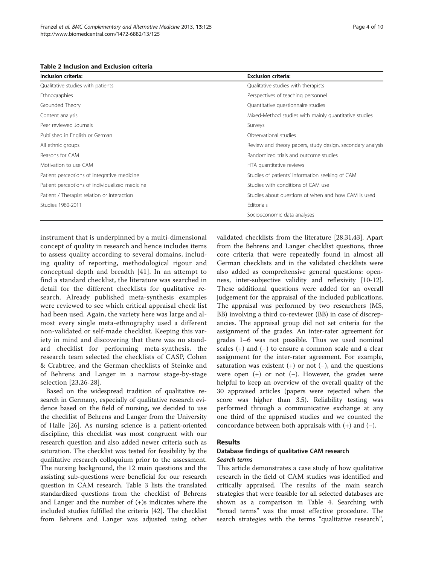<span id="page-3-0"></span>Table 2 Inclusion and Exclusion criteria

| Inclusion criteria:                            | <b>Exclusion criteria:</b>                                 |
|------------------------------------------------|------------------------------------------------------------|
| Qualitative studies with patients              | Qualitative studies with therapists                        |
| Ethnographies                                  | Perspectives of teaching personnel                         |
| Grounded Theory                                | Quantitative questionnaire studies                         |
| Content analysis                               | Mixed-Method studies with mainly quantitative studies      |
| Peer reviewed Journals                         | Surveys                                                    |
| Published in English or German                 | Observational studies                                      |
| All ethnic groups                              | Review and theory papers, study design, secondary analysis |
| Reasons for CAM                                | Randomized trials and outcome studies                      |
| Motivation to use CAM                          | HTA quantitative reviews                                   |
| Patient perceptions of integrative medicine    | Studies of patients' information seeking of CAM            |
| Patient perceptions of individualized medicine | Studies with conditions of CAM use                         |
| Patient / Therapist relation or interaction    | Studies about questions of when and how CAM is used        |
| Studies 1980-2011                              | Editorials                                                 |
|                                                | Socioeconomic data analyses                                |

instrument that is underpinned by a multi-dimensional concept of quality in research and hence includes items to assess quality according to several domains, including quality of reporting, methodological rigour and conceptual depth and breadth [\[41\]](#page-9-0). In an attempt to find a standard checklist, the literature was searched in detail for the different checklists for qualitative research. Already published meta-synthesis examples were reviewed to see which critical appraisal check list had been used. Again, the variety here was large and almost every single meta-ethnography used a different non-validated or self-made checklist. Keeping this variety in mind and discovering that there was no standard checklist for performing meta-synthesis, the research team selected the checklists of CASP, Cohen & Crabtree, and the German checklists of Steinke and of Behrens and Langer in a narrow stage-by-stage selection [\[23](#page-9-0),[26](#page-9-0)-[28](#page-9-0)].

Based on the widespread tradition of qualitative research in Germany, especially of qualitative research evidence based on the field of nursing, we decided to use the checklist of Behrens and Langer from the University of Halle [[26\]](#page-9-0). As nursing science is a patient-oriented discipline, this checklist was most congruent with our research question and also added newer criteria such as saturation. The checklist was tested for feasibility by the qualitative research colloquium prior to the assessment. The nursing background, the 12 main questions and the assisting sub-questions were beneficial for our research question in CAM research. Table [3](#page-4-0) lists the translated standardized questions from the checklist of Behrens and Langer and the number of (+)s indicates where the included studies fulfilled the criteria [[42](#page-9-0)]. The checklist from Behrens and Langer was adjusted using other validated checklists from the literature [\[28,31,43](#page-9-0)]. Apart from the Behrens and Langer checklist questions, three core criteria that were repeatedly found in almost all German checklists and in the validated checklists were also added as comprehensive general questions: openness, inter-subjective validity and reflexivity [\[10-12](#page-9-0)]. These additional questions were added for an overall judgement for the appraisal of the included publications. The appraisal was performed by two researchers (MS, BB) involving a third co-reviewer (BB) in case of discrepancies. The appraisal group did not set criteria for the assignment of the grades. An inter-rater agreement for grades 1–6 was not possible. Thus we used nominal scales (+) and (−) to ensure a common scale and a clear assignment for the inter-rater agreement. For example, saturation was existent  $(+)$  or not  $(-)$ , and the questions were open  $(+)$  or not  $(-)$ . However, the grades were helpful to keep an overview of the overall quality of the 30 appraised articles (papers were rejected when the score was higher than 3.5). Reliability testing was performed through a communicative exchange at any one third of the appraised studies and we counted the concordance between both appraisals with  $(+)$  and  $(-)$ .

# Results

# Database findings of qualitative CAM research Search terms

This article demonstrates a case study of how qualitative research in the field of CAM studies was identified and critically appraised. The results of the main search strategies that were feasible for all selected databases are shown as a comparison in Table [4.](#page-4-0) Searching with "broad terms" was the most effective procedure. The search strategies with the terms "qualitative research",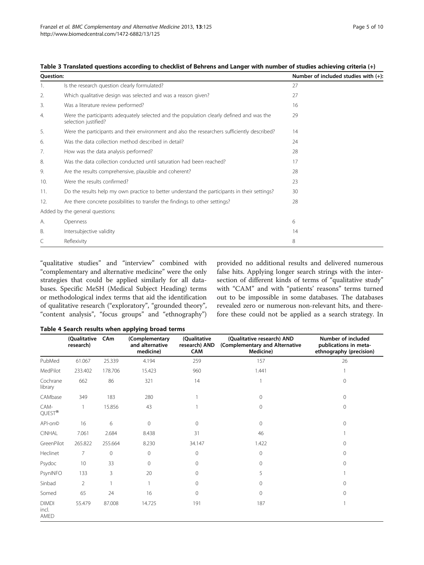| <b>Question:</b> |                                                                                                                  | Number of included studies with $(+)$ : |  |
|------------------|------------------------------------------------------------------------------------------------------------------|-----------------------------------------|--|
| 1.               | Is the research question clearly formulated?                                                                     | 27                                      |  |
| 2.               | Which qualitative design was selected and was a reason given?                                                    | 27                                      |  |
| 3.               | Was a literature review performed?                                                                               | 16                                      |  |
| 4.               | Were the participants adequately selected and the population clearly defined and was the<br>selection justified? | 29                                      |  |
| -5.              | Were the participants and their environment and also the researchers sufficiently described?                     | 14                                      |  |
| 6.               | Was the data collection method described in detail?                                                              | 24                                      |  |
| 7.               | How was the data analysis performed?                                                                             | 28                                      |  |
| 8.               | Was the data collection conducted until saturation had been reached?                                             | 17                                      |  |
| 9.               | Are the results comprehensive, plausible and coherent?                                                           | 28                                      |  |
| 10.              | Were the results confirmed?                                                                                      | 23                                      |  |
| 11.              | Do the results help my own practice to better understand the participants in their settings?                     | 30                                      |  |
| 12.              | Are there concrete possibilities to transfer the findings to other settings?                                     | 28                                      |  |
|                  | Added by the general questions:                                                                                  |                                         |  |
| А.               | Openness                                                                                                         | 6                                       |  |
| В.               | Intersubjective validity                                                                                         | 14                                      |  |
| C                | Reflexivity                                                                                                      | 8                                       |  |

<span id="page-4-0"></span>Table 3 Translated questions according to checklist of Behrens and Langer with number of studies achieving criteria (+)

"qualitative studies" and "interview" combined with "complementary and alternative medicine" were the only strategies that could be applied similarly for all databases. Specific MeSH (Medical Subject Heading) terms or methodological index terms that aid the identification of qualitative research ("exploratory", "grounded theory", "content analysis", "focus groups" and "ethnography")

provided no additional results and delivered numerous false hits. Applying longer search strings with the intersection of different kinds of terms of "qualitative study" with "CAM" and with "patients' reasons" terms turned out to be impossible in some databases. The databases revealed zero or numerous non-relevant hits, and therefore these could not be applied as a search strategy. In

#### Table 4 Search results when applying broad terms

|                                         | (Qualitative<br>research) | <b>CAm</b> | (Complementary<br>and alternative<br>medicine) | (Qualitative<br>research) AND<br><b>CAM</b> | (Qualitative research) AND<br>(Complementary and Alternative<br>Medicine) | Number of included<br>publications in meta-<br>ethnography (precision) |
|-----------------------------------------|---------------------------|------------|------------------------------------------------|---------------------------------------------|---------------------------------------------------------------------------|------------------------------------------------------------------------|
| PubMed                                  | 61.067                    | 25.339     | 4.194                                          | 259                                         | 157                                                                       | 26                                                                     |
| MedPilot                                | 233.402                   | 178.706    | 15.423                                         | 960                                         | 1.441                                                                     |                                                                        |
| Cochrane<br>library                     | 662                       | 86         | 321                                            | 14                                          |                                                                           | $\mathbf{0}$                                                           |
| CAMbase                                 | 349                       | 183        | 280                                            |                                             | 0                                                                         | $\mathbf 0$                                                            |
| CAM-<br>$\mathsf{QUESTION}^\circledast$ | 1                         | 15.856     | 43                                             |                                             | 0                                                                         | $\mathbf 0$                                                            |
| API-on©                                 | 16                        | 6          | $\Omega$                                       | $\mathbf 0$                                 | 0                                                                         | $\mathbf{0}$                                                           |
| CINHAL                                  | 7.061                     | 2.684      | 8.438                                          | 31                                          | 46                                                                        |                                                                        |
| GreenPilot                              | 265.822                   | 255.664    | 8.230                                          | 34.147                                      | 1.422                                                                     | $\mathbf{0}$                                                           |
| Heclinet                                | 7                         | $\circ$    | $\Omega$                                       | $\mathbf 0$                                 | 0                                                                         | $\mathbf{0}$                                                           |
| Psydoc                                  | 10                        | 33         | $\Omega$                                       | $\mathbf 0$                                 | 0                                                                         | $\mathbf{0}$                                                           |
| PsynINFO                                | 133                       | 3          | 20                                             | $\mathbf{0}$                                | 5                                                                         |                                                                        |
| Sinbad                                  | $\overline{2}$            |            |                                                | 0                                           | 0                                                                         | $\mathbf{0}$                                                           |
| Somed                                   | 65                        | 24         | 16                                             | $\mathbf 0$                                 | 0                                                                         | $\mathbf{0}$                                                           |
| <b>DIMDI</b><br>incl.<br>AMED           | 55.479                    | 87.008     | 14.725                                         | 191                                         | 187                                                                       |                                                                        |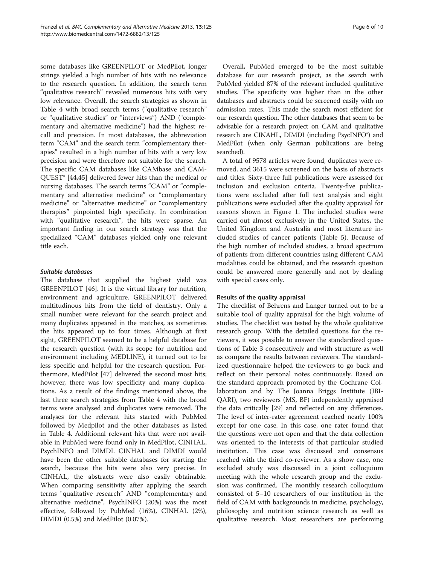some databases like GREENPILOT or MedPilot, longer strings yielded a high number of hits with no relevance to the research question. In addition, the search term "qualitative research" revealed numerous hits with very low relevance. Overall, the search strategies as shown in Table [4](#page-4-0) with broad search terms ("qualitative research" or "qualitative studies" or "interviews") AND ("complementary and alternative medicine") had the highest recall and precision. In most databases, the abbreviation term "CAM" and the search term "complementary therapies" resulted in a high number of hits with a very low precision and were therefore not suitable for the search. The specific CAM databases like CAMbase and CAM-QUEST® [[44,45\]](#page-9-0) delivered fewer hits than the medical or nursing databases. The search terms "CAM" or "complementary and alternative medicine" or "complementary medicine" or "alternative medicine" or "complementary therapies" pinpointed high specificity. In combination with "qualitative research", the hits were sparse. An important finding in our search strategy was that the specialized "CAM" databases yielded only one relevant title each.

#### Suitable databases

The database that supplied the highest yield was GREENPILOT [[46](#page-9-0)]. It is the virtual library for nutrition, environment and agriculture. GREENPILOT delivered multitudinous hits from the field of dentistry. Only a small number were relevant for the search project and many duplicates appeared in the matches, as sometimes the hits appeared up to four times. Although at first sight, GREENPILOT seemed to be a helpful database for the research question (with its scope for nutrition and environment including MEDLINE), it turned out to be less specific and helpful for the research question. Furthermore, MedPilot [[47](#page-9-0)] delivered the second most hits; however, there was low specificity and many duplications. As a result of the findings mentioned above, the last three search strategies from Table [4](#page-4-0) with the broad terms were analysed and duplicates were removed. The analyses for the relevant hits started with PubMed followed by Medpilot and the other databases as listed in Table [4](#page-4-0). Additional relevant hits that were not available in PubMed were found only in MedPilot, CINHAL, PsychINFO and DIMDI. CINHAL and DIMDI would have been the other suitable databases for starting the search, because the hits were also very precise. In CINHAL, the abstracts were also easily obtainable. When comparing sensitivity after applying the search terms "qualitative research" AND "complementary and alternative medicine", PsychINFO (20%) was the most effective, followed by PubMed (16%), CINHAL (2%), DIMDI (0.5%) and MedPilot (0.07%).

Overall, PubMed emerged to be the most suitable database for our research project, as the search with PubMed yielded 87% of the relevant included qualitative studies. The specificity was higher than in the other databases and abstracts could be screened easily with no admission rates. This made the search most efficient for our research question. The other databases that seem to be advisable for a research project on CAM and qualitative research are CINAHL, DIMDI (including PsycINFO®) and MedPilot (when only German publications are being searched).

A total of 9578 articles were found, duplicates were removed, and 3615 were screened on the basis of abstracts and titles. Sixty-three full publications were assessed for inclusion and exclusion criteria. Twenty-five publications were excluded after full text analysis and eight publications were excluded after the quality appraisal for reasons shown in Figure [1](#page-6-0). The included studies were carried out almost exclusively in the United States, the United Kingdom and Australia and most literature included studies of cancer patients (Table [5\)](#page-6-0). Because of the high number of included studies, a broad spectrum of patients from different countries using different CAM modalities could be obtained, and the research question could be answered more generally and not by dealing with special cases only.

# Results of the quality appraisal

The checklist of Behrens and Langer turned out to be a suitable tool of quality appraisal for the high volume of studies. The checklist was tested by the whole qualitative research group. With the detailed questions for the reviewers, it was possible to answer the standardized questions of Table [3](#page-4-0) consecutively and with structure as well as compare the results between reviewers. The standardized questionnaire helped the reviewers to go back and reflect on their personal notes continuously. Based on the standard approach promoted by the Cochrane Collaboration and by The Joanna Briggs Institute (JBI-QARI), two reviewers (MS, BF) independently appraised the data critically [[29](#page-9-0)] and reflected on any differences. The level of inter-rater agreement reached nearly 100% except for one case. In this case, one rater found that the questions were not open and that the data collection was oriented to the interests of that particular studied institution. This case was discussed and consensus reached with the third co-reviewer. As a show case, one excluded study was discussed in a joint colloquium meeting with the whole research group and the exclusion was confirmed. The monthly research colloquium consisted of 5–10 researchers of our institution in the field of CAM with backgrounds in medicine, psychology, philosophy and nutrition science research as well as qualitative research. Most researchers are performing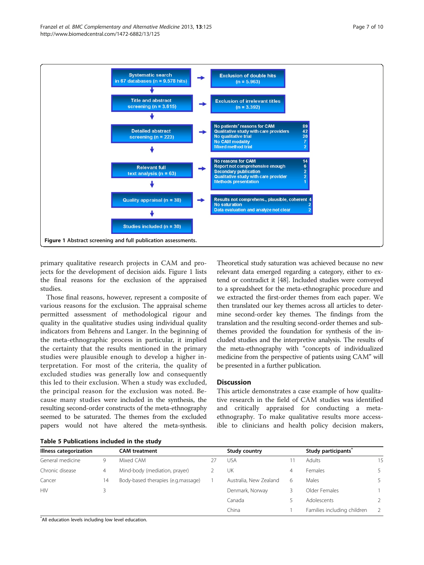<span id="page-6-0"></span>

primary qualitative research projects in CAM and projects for the development of decision aids. Figure 1 lists the final reasons for the exclusion of the appraised studies.

Those final reasons, however, represent a composite of various reasons for the exclusion. The appraisal scheme permitted assessment of methodological rigour and quality in the qualitative studies using individual quality indicators from Behrens and Langer. In the beginning of the meta-ethnographic process in particular, it implied the certainty that the results mentioned in the primary studies were plausible enough to develop a higher interpretation. For most of the criteria, the quality of excluded studies was generally low and consequently this led to their exclusion. When a study was excluded, the principal reason for the exclusion was noted. Because many studies were included in the synthesis, the resulting second-order constructs of the meta-ethnography seemed to be saturated. The themes from the excluded papers would not have altered the meta-synthesis.

Theoretical study saturation was achieved because no new relevant data emerged regarding a category, either to extend or contradict it [\[48](#page-9-0)]. Included studies were conveyed to a spreadsheet for the meta-ethnographic procedure and we extracted the first-order themes from each paper. We then translated our key themes across all articles to determine second-order key themes. The findings from the translation and the resulting second-order themes and subthemes provided the foundation for synthesis of the included studies and the interpretive analysis. The results of the meta-ethnography with "concepts of individualized medicine from the perspective of patients using CAM" will be presented in a further publication.

# **Discussion**

This article demonstrates a case example of how qualitative research in the field of CAM studies was identified and critically appraised for conducting a metaethnography. To make qualitative results more accessible to clinicians and health policy decision makers,

| Illness categorization |    | <b>CAM treatment</b>               |  | Study country          |   | Study participants          |                |
|------------------------|----|------------------------------------|--|------------------------|---|-----------------------------|----------------|
| General medicine       | 9  | Mixed CAM                          |  | USA                    |   | Adults                      | 15             |
| Chronic disease        | 4  | Mind-body (mediation, prayer)      |  | UK                     | 4 | Females                     | 5              |
| Cancer                 | 14 | Body-based therapies (e.g.massage) |  | Australia, New Zealand | 6 | Males                       | 5              |
| <b>HIV</b>             |    |                                    |  | Denmark, Norway        |   | Older Females               |                |
|                        |    |                                    |  | Canada                 |   | Adolescents                 |                |
|                        |    |                                    |  | China                  |   | Families including children | $\overline{2}$ |
|                        |    |                                    |  |                        |   |                             |                |

Table 5 Publications included in the study

\* All education levels including low level education.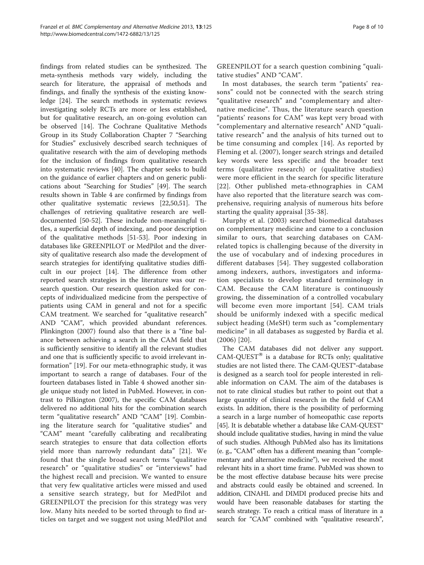findings from related studies can be synthesized. The meta-synthesis methods vary widely, including the search for literature, the appraisal of methods and findings, and finally the synthesis of the existing knowledge [\[24](#page-9-0)]. The search methods in systematic reviews investigating solely RCTs are more or less established, but for qualitative research, an on-going evolution can be observed [[14\]](#page-9-0). The Cochrane Qualitative Methods Group in its Study Collaboration Chapter 7 "Searching for Studies" exclusively described search techniques of qualitative research with the aim of developing methods for the inclusion of findings from qualitative research into systematic reviews [[40\]](#page-9-0). The chapter seeks to build on the guidance of earlier chapters and on generic publications about "Searching for Studies" [[49\]](#page-9-0). The search results shown in Table [4](#page-4-0) are confirmed by findings from other qualitative systematic reviews [[22,50,51](#page-9-0)]. The challenges of retrieving qualitative research are welldocumented [\[50-52](#page-9-0)]. These include non-meaningful titles, a superficial depth of indexing, and poor description of the qualitative methods [[51-53\]](#page-9-0). Poor indexing in databases like GREENPILOT or MedPilot and the diversity of qualitative research also made the development of search strategies for identifying qualitative studies difficult in our project [[14\]](#page-9-0). The difference from other reported search strategies in the literature was our research question. Our research question asked for concepts of individualized medicine from the perspective of patients using CAM in general and not for a specific CAM treatment. We searched for "qualitative research" AND "CAM", which provided abundant references. Plinkington (2007) found also that there is a "fine balance between achieving a search in the CAM field that is sufficiently sensitive to identify all the relevant studies and one that is sufficiently specific to avoid irrelevant information" [[19\]](#page-9-0). For our meta-ethnographic study, it was important to search a range of databases. Four of the fourteen databases listed in Table [4](#page-4-0) showed another single unique study not listed in PubMed. However, in contrast to Pilkington (2007), the specific CAM databases delivered no additional hits for the combination search term "qualitative research" AND "CAM" [[19\]](#page-9-0). Combining the literature search for "qualitative studies" and "CAM" meant "carefully calibrating and recalibrating search strategies to ensure that data collection efforts yield more than narrowly redundant data" [[21\]](#page-9-0). We found that the single broad search terms "qualitative research" or "qualitative studies" or "interviews" had the highest recall and precision. We wanted to ensure that very few qualitative articles were missed and used a sensitive search strategy, but for MedPilot and GREENPILOT the precision for this strategy was very low. Many hits needed to be sorted through to find articles on target and we suggest not using MedPilot and

GREENPILOT for a search question combining "qualitative studies" AND "CAM".

In most databases, the search term "patients' reasons" could not be connected with the search string "qualitative research" and "complementary and alternative medicine". Thus, the literature search question "patients' reasons for CAM" was kept very broad with "complementary and alternative research" AND "qualitative research" and the analysis of hits turned out to be time consuming and complex [[14](#page-9-0)]. As reported by Fleming et al. (2007), longer search strings and detailed key words were less specific and the broader text terms (qualitative research) or (qualitative studies) were more efficient in the search for specific literature [[22](#page-9-0)]. Other published meta-ethnographies in CAM have also reported that the literature search was comprehensive, requiring analysis of numerous hits before starting the quality appraisal [\[35-38\]](#page-9-0).

Murphy et al. (2003) searched biomedical databases on complementary medicine and came to a conclusion similar to ours, that searching databases on CAMrelated topics is challenging because of the diversity in the use of vocabulary and of indexing procedures in different databases [[54\]](#page-9-0). They suggested collaboration among indexers, authors, investigators and information specialists to develop standard terminology in CAM. Because the CAM literature is continuously growing, the dissemination of a controlled vocabulary will become even more important [\[54](#page-9-0)]. CAM trials should be uniformly indexed with a specific medical subject heading (MeSH) term such as "complementary medicine" in all databases as suggested by Bardia et al. (2006) [[20](#page-9-0)].

The CAM databases did not deliver any support.  $CAM-QUEST^®$  is a database for RCTs only; qualitative studies are not listed there. The CAM-QUEST®-database is designed as a search tool for people interested in reliable information on CAM. The aim of the databases is not to rate clinical studies but rather to point out that a large quantity of clinical research in the field of CAM exists. In addition, there is the possibility of performing a search in a large number of homeopathic case reports [[45](#page-9-0)]. It is debatable whether a database like CAM-QUEST<sup>®</sup> should include qualitative studies, having in mind the value of such studies. Although PubMed also has its limitations (e. g., "CAM" often has a different meaning than "complementary and alternative medicine"), we received the most relevant hits in a short time frame. PubMed was shown to be the most effective database because hits were precise and abstracts could easily be obtained and screened. In addition, CINAHL and DIMDI produced precise hits and would have been reasonable databases for starting the search strategy. To reach a critical mass of literature in a search for "CAM" combined with "qualitative research",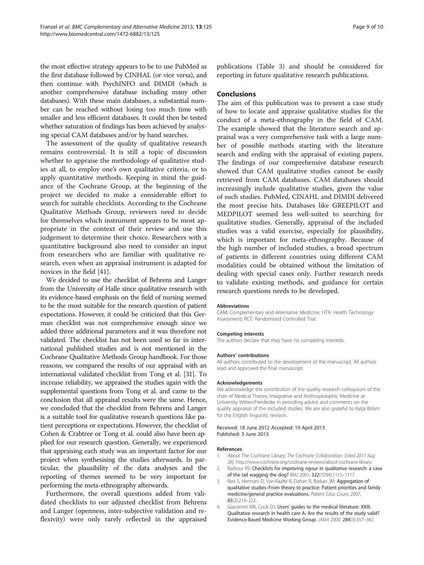<span id="page-8-0"></span>the most effective strategy appears to be to use PubMed as the first database followed by CINHAL (or vice versa), and then continue with PsychINFO and DIMDI (which is another comprehensive database including many other databases). With these main databases, a substantial number can be reached without losing too much time with smaller and less efficient databases. It could then be tested whether saturation of findings has been achieved by analysing special CAM databases and/or by hand searches.

The assessment of the quality of qualitative research remains controversial. It is still a topic of discussion whether to appraise the methodology of qualitative studies at all, to employ one's own qualitative criteria, or to apply quantitative methods. Keeping in mind the guidance of the Cochrane Group, at the beginning of the project we decided to make a considerable effort to search for suitable checklists. According to the Cochrane Qualitative Methods Group, reviewers need to decide for themselves which instrument appears to be most appropriate in the context of their review and use this judgement to determine their choice. Researchers with a quantitative background also need to consider an input from researchers who are familiar with qualitative research, even when an appraisal instrument is adapted for novices in the field [\[41](#page-9-0)].

We decided to use the checklist of Behrens and Langer from the University of Halle since qualitative research with its evidence-based emphasis on the field of nursing seemed to be the most suitable for the research question of patient expectations. However, it could be criticized that this German checklist was not comprehensive enough since we added three additional parameters and it was therefore not validated. The checklist has not been used so far in international published studies and is not mentioned in the Cochrane Qualitative Methods Group handbook. For those reasons, we compared the results of our appraisal with an international validated checklist from Tong et al. [[31](#page-9-0)]. To increase reliability, we appraised the studies again with the supplemental questions from Tong et al. and came to the conclusion that all appraisal results were the same. Hence, we concluded that the checklist from Behrens and Langer is a suitable tool for qualitative research questions like patient perceptions or expectations. However, the checklist of Cohen & Crabtree or Tong et al. could also have been applied for our research question. Generally, we experienced that appraising each study was an important factor for our project when synthesising the studies afterwards. In particular, the plausibility of the data analyses and the reporting of themes seemed to be very important for performing the meta-ethnography afterwards.

Furthermore, the overall questions added from validated checklists to our adjusted checklist from Behrens and Langer (openness, inter-subjective validation and reflexivity) were only rarely reflected in the appraised publications (Table [3\)](#page-4-0) and should be considered for reporting in future qualitative research publications.

# **Conclusions**

The aim of this publication was to present a case study of how to locate and appraise qualitative studies for the conduct of a meta-ethnography in the field of CAM. The example showed that the literature search and appraisal was a very comprehensive task with a large number of possible methods starting with the literature search and ending with the appraisal of existing papers. The findings of our comprehensive database research showed that CAM qualitative studies cannot be easily retrieved from CAM databases. CAM databases should increasingly include qualitative studies, given the value of such studies. PubMed, CINAHL and DIMDI delivered the most precise hits. Databases like GREEPILOT and MEDPILOT seemed less well-suited to searching for qualitative studies. Generally, appraisal of the included studies was a valid exercise, especially for plausibility, which is important for meta-ethnography. Because of the high number of included studies, a broad spectrum of patients in different countries using different CAM modalities could be obtained without the limitation of dealing with special cases only. Further research needs to validate existing methods, and guidance for certain research questions needs to be developed.

#### Abbreviations

CAM: Complementary and Alternative Medicine; HTA: Health Technology Assessment; RCT: Randomized Controlled Trial.

#### Competing interests

The authors declare that they have no competing interests.

#### Authors' contributions

All authors contributed to the development of the manuscript. All authors read and approved the final manuscript.

#### Acknowledgements

We acknowledge the contribution of the quality research colloquium of the chair of Medical Theory, Integrative and Anthroposophic Medicine at University Witten/Herdecke in providing advice and comments on the quality appraisal of the included studies. We are also grateful to Katja Böhm for the English linguistic revision.

#### Received: 18 June 2012 Accepted: 19 April 2013 Published: 3 June 2013

#### References

- 1. About The Cochrane Library: The Cochrane Collaboration: [cited 2011 Aug 26]. [http://www.cochrane.org/cochrane-reviews/about-cochrane-library.](http://www.cochrane.org/cochrane-reviews/about-cochrane-library)
- 2. Barbour RS: Checklists for improving rigour in qualitative research: a case of the tail wagging the dog? BMJ 2001, 322(7294):1115–1117.
- 3. Reis S, Hermoni D, Van-Raalte R, Dahan R, Borkan JM: Aggregation of qualitative studies–From theory to practice: Patient priorities and family medicine/general practice evaluations. Patient Educ Couns 2007, 65(2):214–222.
- 4. Giacomini MK, Cook DJ: Users' guides to the medical literature: XXIII. Qualitative research in health care A. Are the results of the study valid? Evidence-Based Medicine Working Group. JAMA 2000, 284(3):357–362.